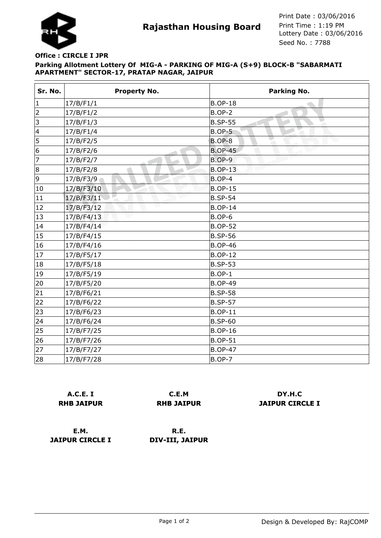

**Rajasthan Housing Board** Print Time : 1:19 PM<br>Lottery Date : 03/06/2016 Seed No. : 7788 Print Date : 03/06/2016 Print Time : 1:19 PM

## **Parking Allotment Lottery Of MIG-A - PARKING OF MIG-A (S+9) BLOCK-B "SABARMATI APARTMENT" SECTOR-17, PRATAP NAGAR, JAIPUR Office : CIRCLE I JPR**

| Sr. No. | <b>Property No.</b> | Parking No.                |
|---------|---------------------|----------------------------|
| 1       | 17/B/F1/1           | <b>B.OP-18</b>             |
| 2       | 17/B/F1/2           | <b>B.OP-2</b>              |
| 3       | 17/B/F1/3           | <b>B.SP-55</b><br>-at      |
| 4       | 17/B/F1/4           | <b>B.OP-5</b>              |
| 5       | 17/B/F2/5           | ಷಾ<br>Ve.<br><b>B.OP-8</b> |
| 6       | 17/B/F2/6           | 2000<br><b>B.OP-45</b>     |
| 7       | 17/B/F2/7           | <b>B.OP-9</b>              |
| 8       | 17/B/F2/8           | <b>B.OP-13</b>             |
| 9       | 17/B/F3/9           | <b>B.OP-4</b>              |
| 10      | 17/B/F3/10          | <b>B.OP-15</b>             |
| 11      | eyn.<br>17/B/F3/11  | <b>B.SP-54</b>             |
| 12      | VB<br>17/B/F3/12    | <b>B.OP-14</b>             |
| 13      | 17/B/F4/13          | $B.OP-6$                   |
| 14      | 17/B/F4/14          | <b>B.OP-52</b>             |
| 15      | 17/B/F4/15          | <b>B.SP-56</b>             |
| 16      | 17/B/F4/16          | <b>B.OP-46</b>             |
| 17      | 17/B/F5/17          | <b>B.OP-12</b>             |
| 18      | 17/B/F5/18          | <b>B.SP-53</b>             |
| 19      | 17/B/F5/19          | $B.OP-1$                   |
| 20      | 17/B/F5/20          | <b>B.OP-49</b>             |
| 21      | 17/B/F6/21          | <b>B.SP-58</b>             |
| 22      | 17/B/F6/22          | <b>B.SP-57</b>             |
| 23      | 17/B/F6/23          | <b>B.OP-11</b>             |
| 24      | 17/B/F6/24          | <b>B.SP-60</b>             |
| 25      | 17/B/F7/25          | <b>B.OP-16</b>             |
| 26      | 17/B/F7/26          | <b>B.OP-51</b>             |
| 27      | 17/B/F7/27          | <b>B.OP-47</b>             |
| 28      | 17/B/F7/28          | <b>B.OP-7</b>              |

|                   | <b>A.C.E. I</b> |  |
|-------------------|-----------------|--|
| <b>RHB JAIPUR</b> |                 |  |

**C.E.M RHB JAIPUR**

**DY.H.C JAIPUR CIRCLE I**

**E.M. JAIPUR CIRCLE I**

**R.E. DIV-III, JAIPUR**